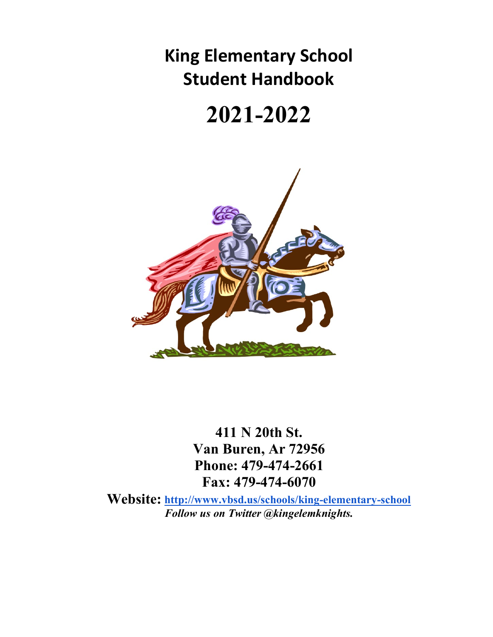**King Elementary School Student Handbook** 

# **2021-2022**



**411 N 20th St. Van Buren, Ar 72956 Phone: 479-474-2661 Fax: 479-474-6070**

**Website: <http://www.vbsd.us/schools/king-elementary-school>** *Follow us on Twitter @kingelemknights.*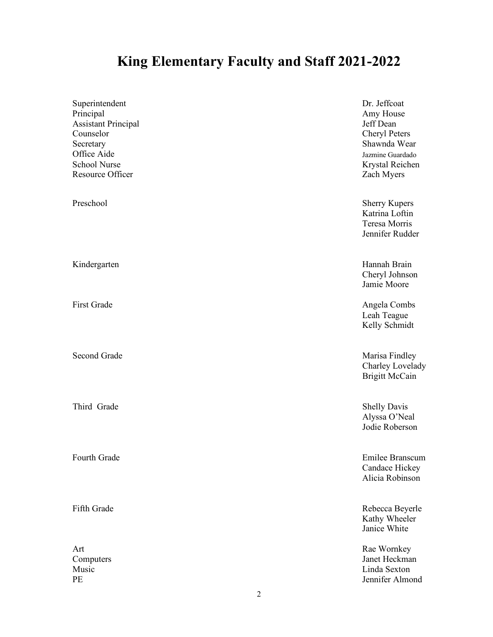# **King Elementary Faculty and Staff 2021-2022**

| Superintendent<br>Principal<br><b>Assistant Principal</b><br>Counselor<br>Secretary<br>Office Aide<br><b>School Nurse</b><br>Resource Officer | Dr. Jeffcoat<br>Amy House<br>Jeff Dean<br>Cheryl Peters<br>Shawnda Wear<br>Jazmine Guardado<br>Krystal Reichen<br>Zach Myers |
|-----------------------------------------------------------------------------------------------------------------------------------------------|------------------------------------------------------------------------------------------------------------------------------|
| Preschool                                                                                                                                     | <b>Sherry Kupers</b><br>Katrina Loftin<br>Teresa Morris<br>Jennifer Rudder                                                   |
| Kindergarten                                                                                                                                  | Hannah Brain<br>Cheryl Johnson<br>Jamie Moore                                                                                |
| <b>First Grade</b>                                                                                                                            | Angela Combs<br>Leah Teague<br>Kelly Schmidt                                                                                 |
| <b>Second Grade</b>                                                                                                                           | Marisa Findley<br>Charley Lovelady<br><b>Brigitt McCain</b>                                                                  |
| Third Grade                                                                                                                                   | <b>Shelly Davis</b><br>Alyssa O'Neal<br>Jodie Roberson                                                                       |
| Fourth Grade                                                                                                                                  | Emilee Branscum<br>Candace Hickey<br>Alicia Robinson                                                                         |
| Fifth Grade                                                                                                                                   | Rebecca Beyerle<br>Kathy Wheeler<br>Janice White                                                                             |
| Art<br>Computers<br>Music<br>PE<br>$\overline{c}$                                                                                             | Rae Wornkey<br>Janet Heckman<br>Linda Sexton<br>Jennifer Almond                                                              |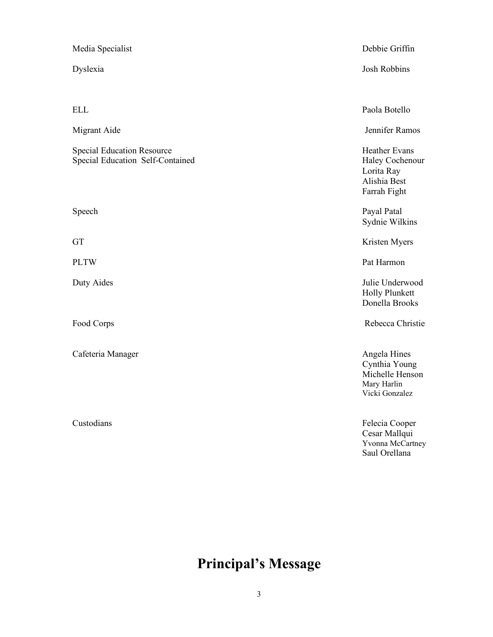| Media Specialist                                                      | Debbie Griffin                                                                    |
|-----------------------------------------------------------------------|-----------------------------------------------------------------------------------|
| Dyslexia                                                              | Josh Robbins                                                                      |
|                                                                       |                                                                                   |
| <b>ELL</b>                                                            | Paola Botello                                                                     |
| Migrant Aide                                                          | Jennifer Ramos                                                                    |
| <b>Special Education Resource</b><br>Special Education Self-Contained | Heather Evans<br>Haley Cochenour<br>Lorita Ray<br>Alishia Best<br>Farrah Fight    |
| Speech                                                                | Payal Patal<br>Sydnie Wilkins                                                     |
| GT                                                                    | Kristen Myers                                                                     |
| <b>PLTW</b>                                                           | Pat Harmon                                                                        |
| Duty Aides                                                            | Julie Underwood<br><b>Holly Plunkett</b><br>Donella Brooks                        |
| Food Corps                                                            | Rebecca Christie                                                                  |
| Cafeteria Manager                                                     | Angela Hines<br>Cynthia Young<br>Michelle Henson<br>Mary Harlin<br>Vicki Gonzalez |
| Custodians                                                            | Felecia Cooper<br>Cesar Mallqui<br>Yvonna McCartney                               |

# **Principal's Message**

Saul Orellana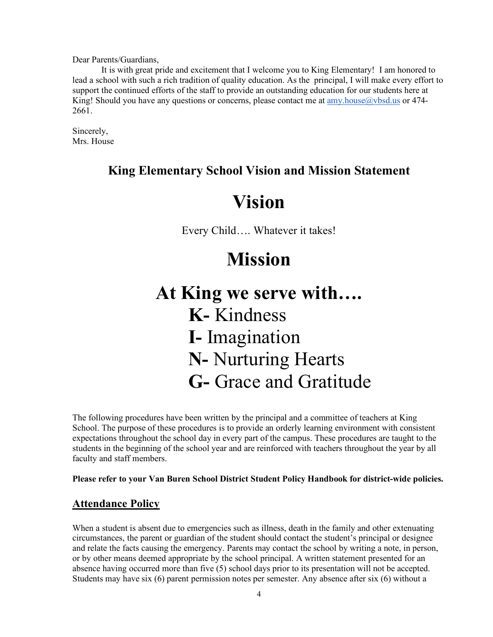Dear Parents/Guardians,

It is with great pride and excitement that I welcome you to King Elementary! I am honored to lead a school with such a rich tradition of quality education. As the principal, I will make every effort to support the continued efforts of the staff to provide an outstanding education for our students here at King! Should you have any questions or concerns, please contact me at <u>amy.house@vbsd.us</u> or 474-2661.

Sincerely, Mrs. House

# **King Elementary School Vision and Mission Statement**

# **Vision**

Every Child…. Whatever it takes!

# **Mission**

**At King we serve with…. K-** Kindness **I-** Imagination **N-** Nurturing Hearts **G-** Grace and Gratitude

The following procedures have been written by the principal and a committee of teachers at King School. The purpose of these procedures is to provide an orderly learning environment with consistent expectations throughout the school day in every part of the campus. These procedures are taught to the students in the beginning of the school year and are reinforced with teachers throughout the year by all faculty and staff members.

**Please refer to your Van Buren School District Student Policy Handbook for district-wide policies.**

# **Attendance Policy**

When a student is absent due to emergencies such as illness, death in the family and other extenuating circumstances, the parent or guardian of the student should contact the student's principal or designee and relate the facts causing the emergency. Parents may contact the school by writing a note, in person, or by other means deemed appropriate by the school principal. A written statement presented for an absence having occurred more than five (5) school days prior to its presentation will not be accepted. Students may have six (6) parent permission notes per semester. Any absence after six (6) without a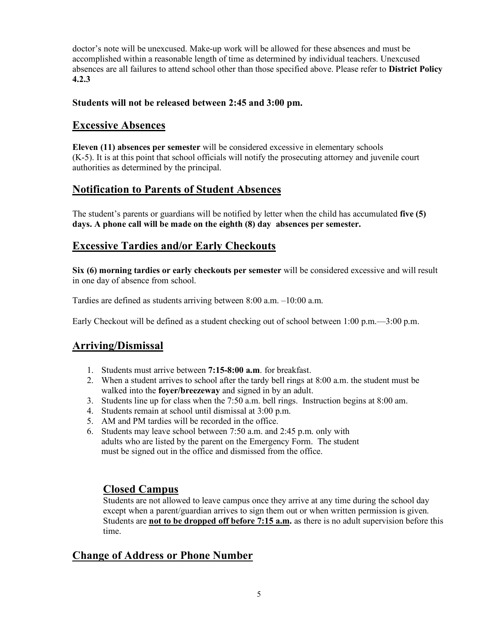doctor's note will be unexcused. Make-up work will be allowed for these absences and must be accomplished within a reasonable length of time as determined by individual teachers. Unexcused absences are all failures to attend school other than those specified above. Please refer to **District Policy 4.2.3** 

#### **Students will not be released between 2:45 and 3:00 pm.**

#### **Excessive Absences**

**Eleven (11) absences per semester** will be considered excessive in elementary schools (K-5). It is at this point that school officials will notify the prosecuting attorney and juvenile court authorities as determined by the principal.

#### **Notification to Parents of Student Absences**

The student's parents or guardians will be notified by letter when the child has accumulated **five (5) days. A phone call will be made on the eighth (8) day absences per semester.**

#### **Excessive Tardies and/or Early Checkouts**

**Six (6) morning tardies or early checkouts per semester** will be considered excessive and will result in one day of absence from school.

Tardies are defined as students arriving between 8:00 a.m. –10:00 a.m.

Early Checkout will be defined as a student checking out of school between 1:00 p.m.  $-3:00$  p.m.

#### **Arriving/Dismissal**

- 1. Students must arrive between **7:15-8:00 a.m**. for breakfast.
- 2. When a student arrives to school after the tardy bell rings at 8:00 a.m. the student must be walked into the **foyer/breezeway** and signed in by an adult.
- 3. Students line up for class when the 7:50 a.m. bell rings. Instruction begins at 8:00 am.
- 4. Students remain at school until dismissal at 3:00 p.m.
- 5. AM and PM tardies will be recorded in the office.
- 6. Students may leave school between 7:50 a.m. and 2:45 p.m. only with adults who are listed by the parent on the Emergency Form. The student must be signed out in the office and dismissed from the office.

#### **Closed Campus**

Students are not allowed to leave campus once they arrive at any time during the school day except when a parent/guardian arrives to sign them out or when written permission is given. Students are **not to be dropped off before 7:15 a.m.** as there is no adult supervision before this time.

#### **Change of Address or Phone Number**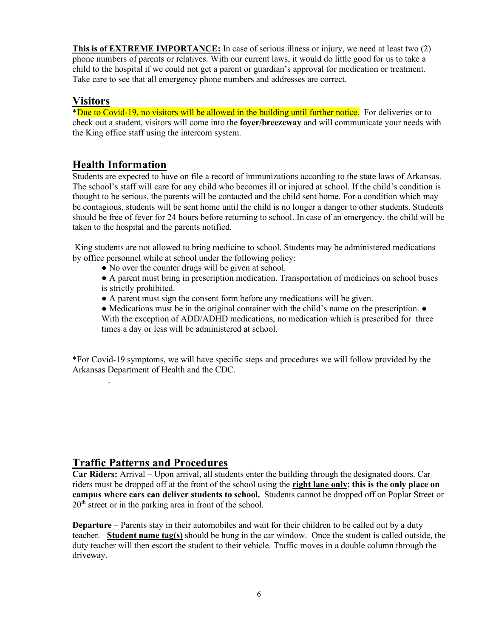**This is of EXTREME IMPORTANCE:** In case of serious illness or injury, we need at least two (2) phone numbers of parents or relatives. With our current laws, it would do little good for us to take a child to the hospital if we could not get a parent or guardian's approval for medication or treatment. Take care to see that all emergency phone numbers and addresses are correct.

#### **Visitors**

.

\*Due to Covid-19, no visitors will be allowed in the building until further notice. For deliveries or to check out a student, visitors will come into the **foyer/breezeway** and will communicate your needs with the King office staff using the intercom system.

# **Health Information**

Students are expected to have on file a record of immunizations according to the state laws of Arkansas. The school's staff will care for any child who becomes ill or injured at school. If the child's condition is thought to be serious, the parents will be contacted and the child sent home. For a condition which may be contagious, students will be sent home until the child is no longer a danger to other students. Students should be free of fever for 24 hours before returning to school. In case of an emergency, the child will be taken to the hospital and the parents notified.

King students are not allowed to bring medicine to school. Students may be administered medications by office personnel while at school under the following policy:

• No over the counter drugs will be given at school.

● A parent must bring in prescription medication. Transportation of medicines on school buses is strictly prohibited.

● A parent must sign the consent form before any medications will be given.

● Medications must be in the original container with the child's name on the prescription. ● With the exception of ADD/ADHD medications, no medication which is prescribed for three times a day or less will be administered at school.

\*For Covid-19 symptoms, we will have specific steps and procedures we will follow provided by the Arkansas Department of Health and the CDC.

#### **Traffic Patterns and Procedures**

**Car Riders:** Arrival – Upon arrival, all students enter the building through the designated doors. Car riders must be dropped off at the front of the school using the **right lane only**; **this is the only place on campus where cars can deliver students to school.** Students cannot be dropped off on Poplar Street or  $20<sup>th</sup>$  street or in the parking area in front of the school.

**Departure** – Parents stay in their automobiles and wait for their children to be called out by a duty teacher. **Student name tag(s)** should be hung in the car window. Once the student is called outside, the duty teacher will then escort the student to their vehicle. Traffic moves in a double column through the driveway.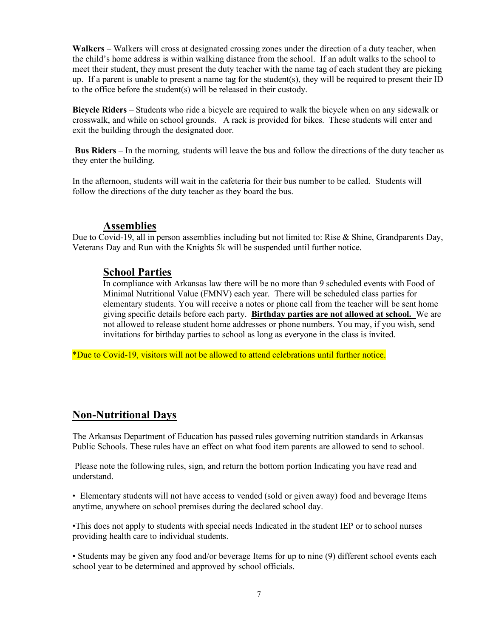**Walkers** – Walkers will cross at designated crossing zones under the direction of a duty teacher, when the child's home address is within walking distance from the school. If an adult walks to the school to meet their student, they must present the duty teacher with the name tag of each student they are picking up. If a parent is unable to present a name tag for the student(s), they will be required to present their ID to the office before the student(s) will be released in their custody.

**Bicycle Riders** – Students who ride a bicycle are required to walk the bicycle when on any sidewalk or crosswalk, and while on school grounds. A rack is provided for bikes. These students will enter and exit the building through the designated door.

**Bus Riders** – In the morning, students will leave the bus and follow the directions of the duty teacher as they enter the building.

In the afternoon, students will wait in the cafeteria for their bus number to be called. Students will follow the directions of the duty teacher as they board the bus.

#### **Assemblies**

Due to Covid-19, all in person assemblies including but not limited to: Rise & Shine, Grandparents Day, Veterans Day and Run with the Knights 5k will be suspended until further notice.

#### **School Parties**

In compliance with Arkansas law there will be no more than 9 scheduled events with Food of Minimal Nutritional Value (FMNV) each year. There will be scheduled class parties for elementary students. You will receive a notes or phone call from the teacher will be sent home giving specific details before each party. **Birthday parties are not allowed at school.** We are not allowed to release student home addresses or phone numbers. You may, if you wish, send invitations for birthday parties to school as long as everyone in the class is invited.

\*Due to Covid-19, visitors will not be allowed to attend celebrations until further notice.

#### **Non-Nutritional Days**

The Arkansas Department of Education has passed rules governing nutrition standards in Arkansas Public Schools. These rules have an effect on what food item parents are allowed to send to school.

Please note the following rules, sign, and return the bottom portion Indicating you have read and understand.

• Elementary students will not have access to vended (sold or given away) food and beverage Items anytime, anywhere on school premises during the declared school day.

•This does not apply to students with special needs Indicated in the student IEP or to school nurses providing health care to individual students.

• Students may be given any food and/or beverage Items for up to nine (9) different school events each school year to be determined and approved by school officials.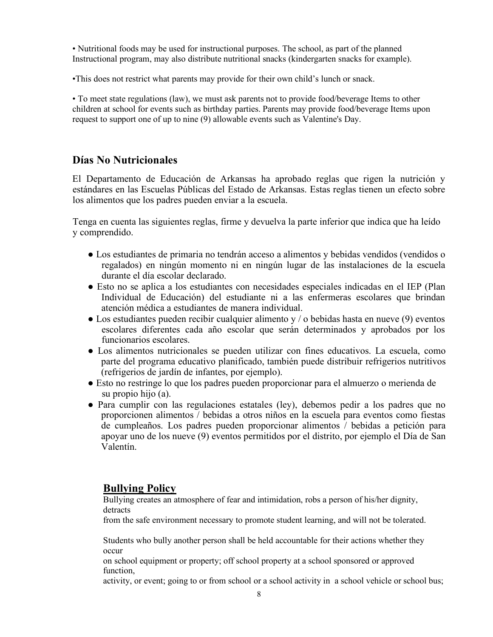• Nutritional foods may be used for instructional purposes. The school, as part of the planned Instructional program, may also distribute nutritional snacks (kindergarten snacks for example).

•This does not restrict what parents may provide for their own child's lunch or snack.

• To meet state regulations (law), we must ask parents not to provide food/beverage Items to other children at school for events such as birthday parties. Parents may provide food/beverage Items upon request to support one of up to nine (9) allowable events such as Valentine's Day.

#### **Días No Nutricionales**

El Departamento de Educación de Arkansas ha aprobado reglas que rigen la nutrición y estándares en las Escuelas Públicas del Estado de Arkansas. Estas reglas tienen un efecto sobre los alimentos que los padres pueden enviar a la escuela.

Tenga en cuenta las siguientes reglas, firme y devuelva la parte inferior que indica que ha leído y comprendido.

- Los estudiantes de primaria no tendrán acceso a alimentos y bebidas vendidos (vendidos o regalados) en ningún momento ni en ningún lugar de las instalaciones de la escuela durante el día escolar declarado.
- Esto no se aplica a los estudiantes con necesidades especiales indicadas en el IEP (Plan Individual de Educación) del estudiante ni a las enfermeras escolares que brindan atención médica a estudiantes de manera individual.
- $\bullet$  Los estudiantes pueden recibir cualquier alimento y / o bebidas hasta en nueve (9) eventos escolares diferentes cada año escolar que serán determinados y aprobados por los funcionarios escolares.
- Los alimentos nutricionales se pueden utilizar con fines educativos. La escuela, como parte del programa educativo planificado, también puede distribuir refrigerios nutritivos (refrigerios de jardín de infantes, por ejemplo).
- Esto no restringe lo que los padres pueden proporcionar para el almuerzo o merienda de su propio hijo (a).
- Para cumplir con las regulaciones estatales (ley), debemos pedir a los padres que no proporcionen alimentos / bebidas a otros niños en la escuela para eventos como fiestas de cumpleaños. Los padres pueden proporcionar alimentos / bebidas a petición para apoyar uno de los nueve (9) eventos permitidos por el distrito, por ejemplo el Día de San Valentín.

#### **Bullying Policy**

Bullying creates an atmosphere of fear and intimidation, robs a person of his/her dignity, detracts

from the safe environment necessary to promote student learning, and will not be tolerated.

Students who bully another person shall be held accountable for their actions whether they occur

on school equipment or property; off school property at a school sponsored or approved function,

activity, or event; going to or from school or a school activity in a school vehicle or school bus;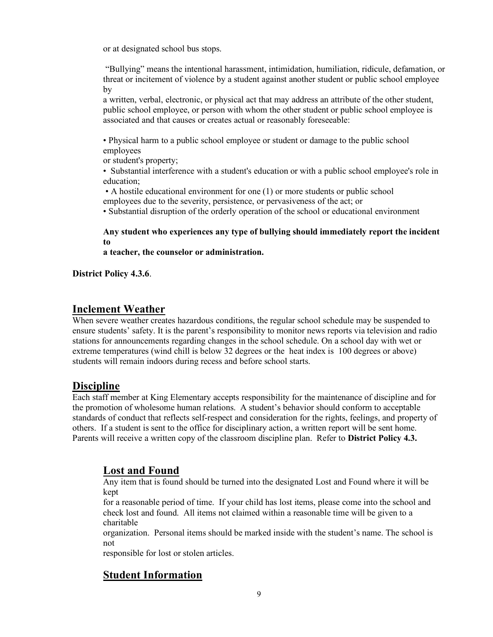or at designated school bus stops.

"Bullying" means the intentional harassment, intimidation, humiliation, ridicule, defamation, or threat or incitement of violence by a student against another student or public school employee by

a written, verbal, electronic, or physical act that may address an attribute of the other student, public school employee, or person with whom the other student or public school employee is associated and that causes or creates actual or reasonably foreseeable:

• Physical harm to a public school employee or student or damage to the public school employees

or student's property;

• Substantial interference with a student's education or with a public school employee's role in education;

• A hostile educational environment for one (1) or more students or public school employees due to the severity, persistence, or pervasiveness of the act; or

• Substantial disruption of the orderly operation of the school or educational environment

#### **Any student who experiences any type of bullying should immediately report the incident to**

**a teacher, the counselor or administration.** 

**District Policy 4.3.6**.

#### **Inclement Weather**

When severe weather creates hazardous conditions, the regular school schedule may be suspended to ensure students' safety. It is the parent's responsibility to monitor news reports via television and radio stations for announcements regarding changes in the school schedule. On a school day with wet or extreme temperatures (wind chill is below 32 degrees or the heat index is 100 degrees or above) students will remain indoors during recess and before school starts.

#### **Discipline**

Each staff member at King Elementary accepts responsibility for the maintenance of discipline and for the promotion of wholesome human relations. A student's behavior should conform to acceptable standards of conduct that reflects self-respect and consideration for the rights, feelings, and property of others. If a student is sent to the office for disciplinary action, a written report will be sent home. Parents will receive a written copy of the classroom discipline plan. Refer to **District Policy 4.3.** 

#### **Lost and Found**

Any item that is found should be turned into the designated Lost and Found where it will be kept

for a reasonable period of time. If your child has lost items, please come into the school and check lost and found. All items not claimed within a reasonable time will be given to a charitable

organization. Personal items should be marked inside with the student's name. The school is not

responsible for lost or stolen articles.

# **Student Information**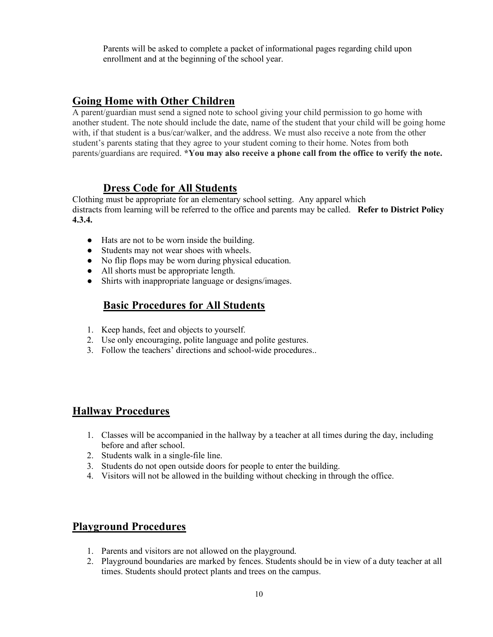Parents will be asked to complete a packet of informational pages regarding child upon enrollment and at the beginning of the school year.

#### **Going Home with Other Children**

A parent/guardian must send a signed note to school giving your child permission to go home with another student. The note should include the date, name of the student that your child will be going home with, if that student is a bus/car/walker, and the address. We must also receive a note from the other student's parents stating that they agree to your student coming to their home. Notes from both parents/guardians are required. **\*You may also receive a phone call from the office to verify the note.** 

#### **Dress Code for All Students**

Clothing must be appropriate for an elementary school setting. Any apparel which distracts from learning will be referred to the office and parents may be called. **Refer to District Policy 4.3.4.**

- Hats are not to be worn inside the building.
- Students may not wear shoes with wheels.
- No flip flops may be worn during physical education.
- All shorts must be appropriate length.
- Shirts with inappropriate language or designs/images.

#### **Basic Procedures for All Students**

- 1. Keep hands, feet and objects to yourself.
- 2. Use only encouraging, polite language and polite gestures.
- 3. Follow the teachers' directions and school-wide procedures..

#### **Hallway Procedures**

- 1. Classes will be accompanied in the hallway by a teacher at all times during the day, including before and after school.
- 2. Students walk in a single-file line.
- 3. Students do not open outside doors for people to enter the building.
- 4. Visitors will not be allowed in the building without checking in through the office.

#### **Playground Procedures**

- 1. Parents and visitors are not allowed on the playground.
- 2. Playground boundaries are marked by fences. Students should be in view of a duty teacher at all times. Students should protect plants and trees on the campus.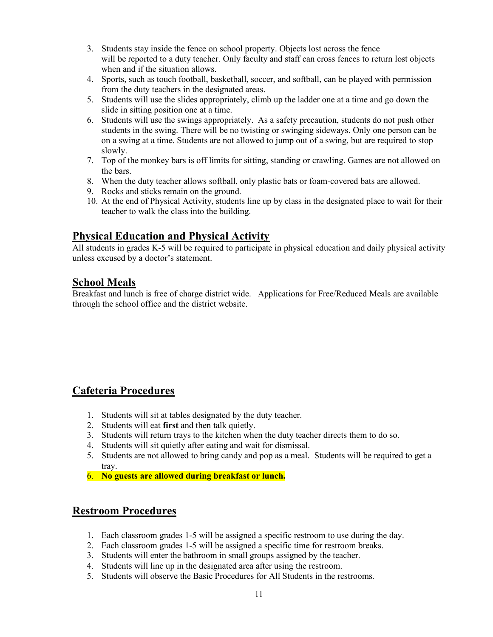- 3. Students stay inside the fence on school property. Objects lost across the fence will be reported to a duty teacher. Only faculty and staff can cross fences to return lost objects when and if the situation allows.
- 4. Sports, such as touch football, basketball, soccer, and softball, can be played with permission from the duty teachers in the designated areas.
- 5. Students will use the slides appropriately, climb up the ladder one at a time and go down the slide in sitting position one at a time.
- 6. Students will use the swings appropriately. As a safety precaution, students do not push other students in the swing. There will be no twisting or swinging sideways. Only one person can be on a swing at a time. Students are not allowed to jump out of a swing, but are required to stop slowly.
- 7. Top of the monkey bars is off limits for sitting, standing or crawling. Games are not allowed on the bars.
- 8. When the duty teacher allows softball, only plastic bats or foam-covered bats are allowed.
- 9. Rocks and sticks remain on the ground.
- 10. At the end of Physical Activity, students line up by class in the designated place to wait for their teacher to walk the class into the building.

#### **Physical Education and Physical Activity**

All students in grades K-5 will be required to participate in physical education and daily physical activity unless excused by a doctor's statement.

#### **School Meals**

Breakfast and lunch is free of charge district wide. Applications for Free/Reduced Meals are available through the school office and the district website.

# **Cafeteria Procedures**

- 1. Students will sit at tables designated by the duty teacher.
- 2. Students will eat **first** and then talk quietly.
- 3. Students will return trays to the kitchen when the duty teacher directs them to do so.
- 4. Students will sit quietly after eating and wait for dismissal.
- 5. Students are not allowed to bring candy and pop as a meal. Students will be required to get a tray.
- 6. **No guests are allowed during breakfast or lunch.**

#### **Restroom Procedures**

- 1. Each classroom grades 1-5 will be assigned a specific restroom to use during the day.
- 2. Each classroom grades 1-5 will be assigned a specific time for restroom breaks.
- 3. Students will enter the bathroom in small groups assigned by the teacher.
- 4. Students will line up in the designated area after using the restroom.
- 5. Students will observe the Basic Procedures for All Students in the restrooms.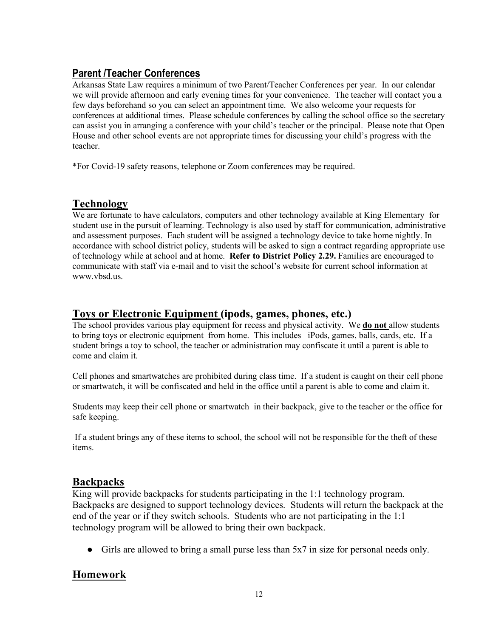# **Parent /Teacher Conferences**

Arkansas State Law requires a minimum of two Parent/Teacher Conferences per year. In our calendar we will provide afternoon and early evening times for your convenience. The teacher will contact you a few days beforehand so you can select an appointment time. We also welcome your requests for conferences at additional times. Please schedule conferences by calling the school office so the secretary can assist you in arranging a conference with your child's teacher or the principal. Please note that Open House and other school events are not appropriate times for discussing your child's progress with the teacher.

\*For Covid-19 safety reasons, telephone or Zoom conferences may be required.

# **Technology**

We are fortunate to have calculators, computers and other technology available at King Elementary for student use in the pursuit of learning. Technology is also used by staff for communication, administrative and assessment purposes. Each student will be assigned a technology device to take home nightly. In accordance with school district policy, students will be asked to sign a contract regarding appropriate use of technology while at school and at home. **Refer to District Policy 2.29.** Families are encouraged to communicate with staff via e-mail and to visit the school's website for current school information at www.vbsd.us.

# **Toys or Electronic Equipment (ipods, games, phones, etc.)**

The school provides various play equipment for recess and physical activity. We **do not** allow students to bring toys or electronic equipment from home. This includes iPods, games, balls, cards, etc. If a student brings a toy to school, the teacher or administration may confiscate it until a parent is able to come and claim it.

Cell phones and smartwatches are prohibited during class time. If a student is caught on their cell phone or smartwatch, it will be confiscated and held in the office until a parent is able to come and claim it.

Students may keep their cell phone or smartwatch in their backpack, give to the teacher or the office for safe keeping.

If a student brings any of these items to school, the school will not be responsible for the theft of these items.

#### **Backpacks**

King will provide backpacks for students participating in the 1:1 technology program. Backpacks are designed to support technology devices. Students will return the backpack at the end of the year or if they switch schools. Students who are not participating in the 1:1 technology program will be allowed to bring their own backpack.

● Girls are allowed to bring a small purse less than 5x7 in size for personal needs only.

# **Homework**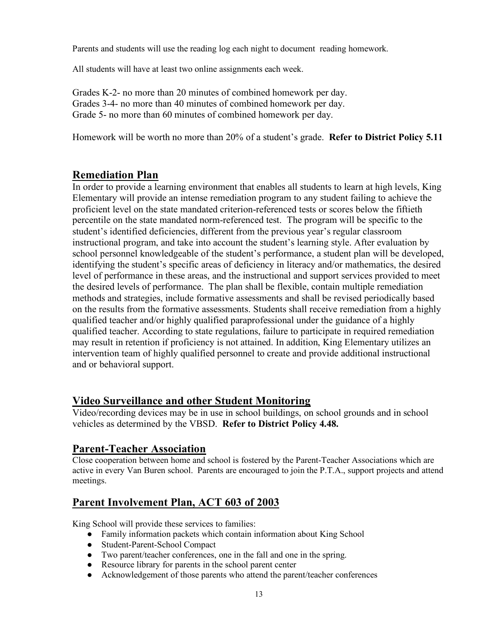Parents and students will use the reading log each night to document reading homework.

All students will have at least two online assignments each week.

Grades K-2- no more than 20 minutes of combined homework per day. Grades 3-4- no more than 40 minutes of combined homework per day. Grade 5- no more than 60 minutes of combined homework per day.

Homework will be worth no more than 20% of a student's grade. **Refer to District Policy 5.11**

#### **Remediation Plan**

In order to provide a learning environment that enables all students to learn at high levels, King Elementary will provide an intense remediation program to any student failing to achieve the proficient level on the state mandated criterion-referenced tests or scores below the fiftieth percentile on the state mandated norm-referenced test. The program will be specific to the student's identified deficiencies, different from the previous year's regular classroom instructional program, and take into account the student's learning style. After evaluation by school personnel knowledgeable of the student's performance, a student plan will be developed, identifying the student's specific areas of deficiency in literacy and/or mathematics, the desired level of performance in these areas, and the instructional and support services provided to meet the desired levels of performance. The plan shall be flexible, contain multiple remediation methods and strategies, include formative assessments and shall be revised periodically based on the results from the formative assessments. Students shall receive remediation from a highly qualified teacher and/or highly qualified paraprofessional under the guidance of a highly qualified teacher. According to state regulations, failure to participate in required remediation may result in retention if proficiency is not attained. In addition, King Elementary utilizes an intervention team of highly qualified personnel to create and provide additional instructional and or behavioral support.

#### **Video Surveillance and other Student Monitoring**

Video/recording devices may be in use in school buildings, on school grounds and in school vehicles as determined by the VBSD. **Refer to District Policy 4.48.**

#### **Parent-Teacher Association**

Close cooperation between home and school is fostered by the Parent-Teacher Associations which are active in every Van Buren school. Parents are encouraged to join the P.T.A., support projects and attend meetings.

# **Parent Involvement Plan, ACT 603 of 2003**

King School will provide these services to families:

- Family information packets which contain information about King School
- Student-Parent-School Compact
- Two parent/teacher conferences, one in the fall and one in the spring.
- Resource library for parents in the school parent center
- Acknowledgement of those parents who attend the parent/teacher conferences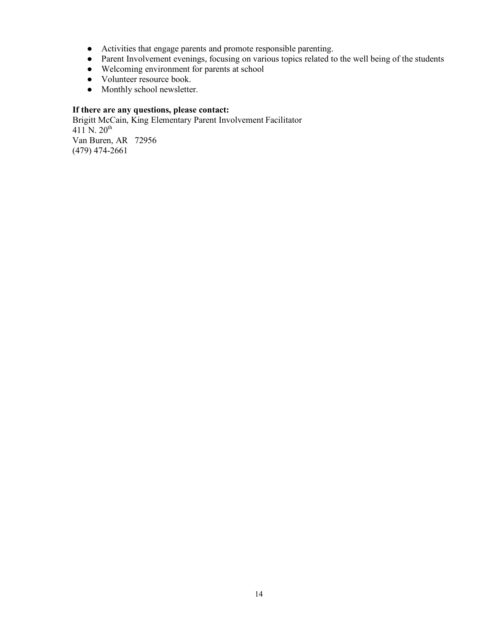- Activities that engage parents and promote responsible parenting.
- Parent Involvement evenings, focusing on various topics related to the well being of the students
- Welcoming environment for parents at school
- Volunteer resource book.
- Monthly school newsletter.

#### **If there are any questions, please contact:**

Brigitt McCain, King Elementary Parent Involvement Facilitator  $411^{6}$  N.  $20^{th}$ Van Buren, AR 72956 (479) 474-2661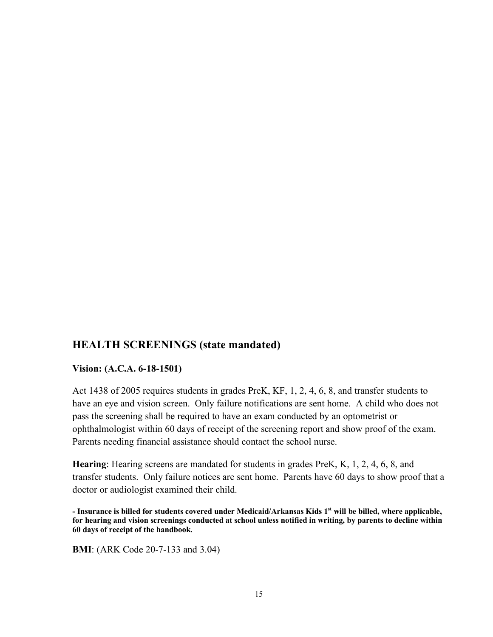#### **HEALTH SCREENINGS (state mandated)**

#### **Vision: (A.C.A. 6-18-1501)**

Act 1438 of 2005 requires students in grades PreK, KF, 1, 2, 4, 6, 8, and transfer students to have an eye and vision screen. Only failure notifications are sent home. A child who does not pass the screening shall be required to have an exam conducted by an optometrist or ophthalmologist within 60 days of receipt of the screening report and show proof of the exam. Parents needing financial assistance should contact the school nurse.

**Hearing**: Hearing screens are mandated for students in grades PreK, K, 1, 2, 4, 6, 8, and transfer students. Only failure notices are sent home. Parents have 60 days to show proof that a doctor or audiologist examined their child.

**- Insurance is billed for students covered under Medicaid/Arkansas Kids 1st will be billed, where applicable, for hearing and vision screenings conducted at school unless notified in writing, by parents to decline within 60 days of receipt of the handbook.**

**BMI**: (ARK Code 20-7-133 and 3.04)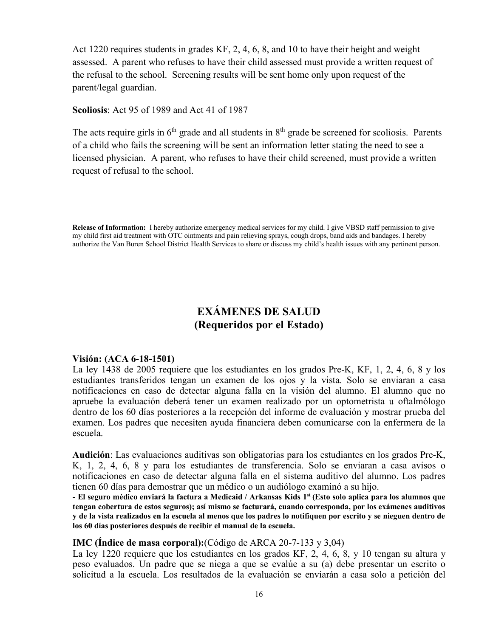Act 1220 requires students in grades KF, 2, 4, 6, 8, and 10 to have their height and weight assessed. A parent who refuses to have their child assessed must provide a written request of the refusal to the school. Screening results will be sent home only upon request of the parent/legal guardian.

**Scoliosis**: Act 95 of 1989 and Act 41 of 1987

The acts require girls in  $6<sup>th</sup>$  grade and all students in  $8<sup>th</sup>$  grade be screened for scoliosis. Parents of a child who fails the screening will be sent an information letter stating the need to see a licensed physician. A parent, who refuses to have their child screened, must provide a written request of refusal to the school.

**Release of Information:** I hereby authorize emergency medical services for my child. I give VBSD staff permission to give my child first aid treatment with OTC ointments and pain relieving sprays, cough drops, band aids and bandages. I hereby authorize the Van Buren School District Health Services to share or discuss my child's health issues with any pertinent person.

# **EXÁMENES DE SALUD (Requeridos por el Estado)**

#### **Visión: (ACA 6-18-1501)**

La ley 1438 de 2005 requiere que los estudiantes en los grados Pre-K, KF, 1, 2, 4, 6, 8 y los estudiantes transferidos tengan un examen de los ojos y la vista. Solo se enviaran a casa notificaciones en caso de detectar alguna falla en la visión del alumno. El alumno que no apruebe la evaluación deberá tener un examen realizado por un optometrista u oftalmólogo dentro de los 60 días posteriores a la recepción del informe de evaluación y mostrar prueba del examen. Los padres que necesiten ayuda financiera deben comunicarse con la enfermera de la escuela.

**Audición**: Las evaluaciones auditivas son obligatorias para los estudiantes en los grados Pre-K, K, 1, 2, 4, 6, 8 y para los estudiantes de transferencia. Solo se enviaran a casa avisos o notificaciones en caso de detectar alguna falla en el sistema auditivo del alumno. Los padres tienen 60 días para demostrar que un médico o un audiólogo examinó a su hijo.

**- El seguro médico enviará la factura a Medicaid / Arkansas Kids 1st (Esto solo aplica para los alumnos que tengan cobertura de estos seguros); así mismo se facturará, cuando corresponda, por los exámenes auditivos y de la vista realizados en la escuela al menos que los padres lo notifiquen por escrito y se nieguen dentro de los 60 días posteriores después de recibir el manual de la escuela.** 

#### **IMC (Índice de masa corporal):**(Código de ARCA 20-7-133 y 3,04)

La ley 1220 requiere que los estudiantes en los grados KF, 2, 4, 6, 8, y 10 tengan su altura y peso evaluados. Un padre que se niega a que se evalúe a su (a) debe presentar un escrito o solicitud a la escuela. Los resultados de la evaluación se enviarán a casa solo a petición del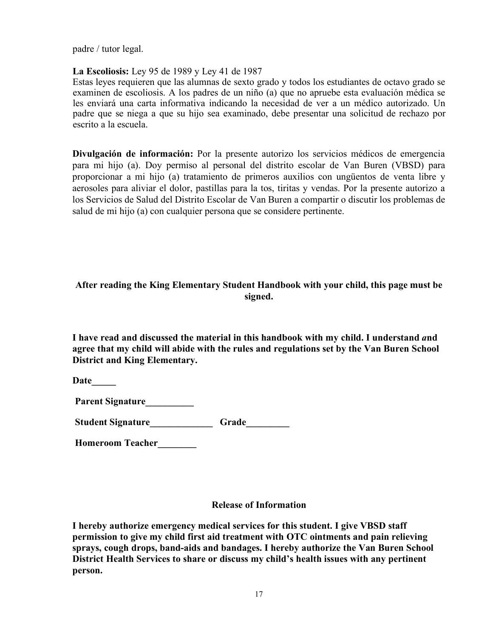padre / tutor legal.

#### **La Escoliosis:** Ley 95 de 1989 y Ley 41 de 1987

Estas leyes requieren que las alumnas de sexto grado y todos los estudiantes de octavo grado se examinen de escoliosis. A los padres de un niño (a) que no apruebe esta evaluación médica se les enviará una carta informativa indicando la necesidad de ver a un médico autorizado. Un padre que se niega a que su hijo sea examinado, debe presentar una solicitud de rechazo por escrito a la escuela.

**Divulgación de información:** Por la presente autorizo los servicios médicos de emergencia para mi hijo (a). Doy permiso al personal del distrito escolar de Van Buren (VBSD) para proporcionar a mi hijo (a) tratamiento de primeros auxilios con ungüentos de venta libre y aerosoles para aliviar el dolor, pastillas para la tos, tiritas y vendas. Por la presente autorizo a los Servicios de Salud del Distrito Escolar de Van Buren a compartir o discutir los problemas de salud de mi hijo (a) con cualquier persona que se considere pertinente.

#### **After reading the King Elementary Student Handbook with your child, this page must be signed.**

**I have read and discussed the material in this handbook with my child. I understand** *a***nd agree that my child will abide with the rules and regulations set by the Van Buren School District and King Elementary.** 

**Date\_\_\_\_\_**

**Parent Signature\_\_\_\_\_\_\_\_\_\_**

Student Signature\_\_\_\_\_\_\_\_\_\_\_\_\_\_\_Grade\_\_\_\_\_\_\_\_\_\_

**Homeroom Teacher\_\_\_\_\_\_\_\_**

#### **Release of Information**

**I hereby authorize emergency medical services for this student. I give VBSD staff permission to give my child first aid treatment with OTC ointments and pain relieving sprays, cough drops, band-aids and bandages. I hereby authorize the Van Buren School District Health Services to share or discuss my child's health issues with any pertinent person.**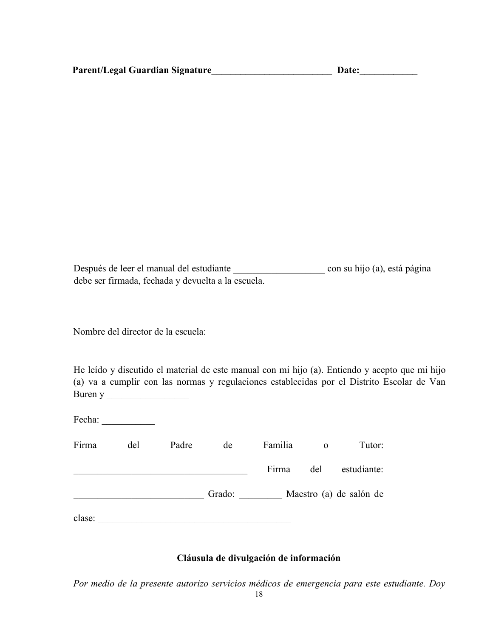| <b>Parent/Legal Guardian Signature</b> |
|----------------------------------------|
|----------------------------------------|

**Parent Guardian Signature Contract Guardian Signature Contract Contract Contract Contract Contract Contract Contract Contract Contract Contract Contract Contract Contract Contract Contract Contract Contract Contract Contr** 

Después de leer el manual del estudiante \_\_\_\_\_\_\_\_\_\_\_\_\_\_\_\_\_\_\_ con su hijo (a), está página debe ser firmada, fechada y devuelta a la escuela.

Nombre del director de la escuela:

He leído y discutido el material de este manual con mi hijo (a). Entiendo y acepto que mi hijo (a) va a cumplir con las normas y regulaciones establecidas por el Distrito Escolar de Van Buren y

| Fecha: |     |       |        |                         |              |             |
|--------|-----|-------|--------|-------------------------|--------------|-------------|
| Firma  | del | Padre | de     | Familia                 | $\mathbf{o}$ | Tutor:      |
|        |     |       |        | Firma                   | del          | estudiante: |
|        |     |       | Grado: | Maestro (a) de salón de |              |             |
| clase: |     |       |        |                         |              |             |

#### **Cláusula de divulgación de información**

*Por medio de la presente autorizo servicios médicos de emergencia para este estudiante. Doy*